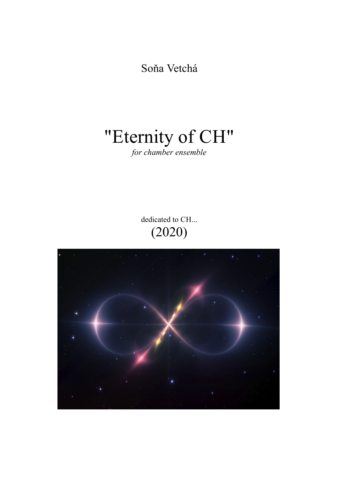Soňa Vetchá

## "Eternity of CH"

*for chamber ensemble*

dedicated to CH... (2020)

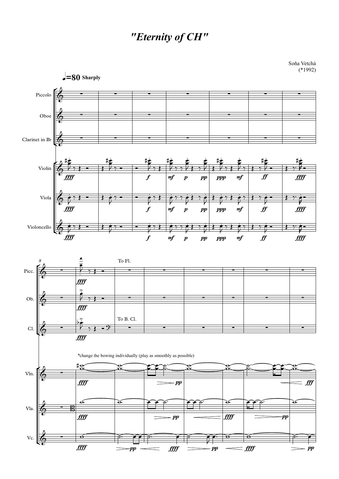## *"Eternity of CH"*

 $\overline{\mathcal{O}}$  $\sqrt{\Theta}$  $\frac{1}{2}$ <sup> $\frac{1}{2}$ </sup> l Z  $\zeta$  $\sqrt{\phi}$  $\rightarrow$  $\frac{1}{2}$  $\sqrt{=}80$  Sharply (\*1992) Piccolo Oboe Clarinet in Bb Violin Viola Violoncello *8* Picc. Ob. Cl. Vln. Vla. Vc.  $\&$   $\qquad$ ∑ ∑ ∑ ∑ ∑ ∑ & ∑ ∑ ∑ ∑ ∑ ∑ ∑ & ∑ ∑ ∑ ∑ ∑ ∑ ∑  $\bigcirc$   $\bigcirc$   $\bigcirc$   $\bigcirc$   $\bigcirc$   $\bigcirc$   $\bigcirc$   $\bigcirc$ ffff . .  $\boldsymbol{f}$ .  $\eta$  mf p .  $\boldsymbol{pp}$ .  $pp \mid ppp \quad m\!f \mid$ .<br>. . . mf .  $\boldsymbol{\mathit{f\!f}}$ . ffff . & ffff<sup>f</sup> . .  $\boldsymbol{f}$  $\frac{1}{2}$ .  $m\mathbf{f}$  p .<br>. . .  $\boldsymbol{pp}$  $\overline{\cdot}$ .  $pp \mid ppp \quad \; m\!f \mid$  $\overline{\phantom{a}}$  $\frac{1}{2}$ . mf <u>. . . .</u>  $f f$ .<br>.<br>. . ffff .<br>.<br>. .  $\bigcirc$   $\bigcirc$   $\bigcirc$   $\bigcirc$   $\bigcirc$   $\bigcirc$ ffff . . f . . .  $m f$   $p$ .<br>. . .  $\boldsymbol{pp}$  $\overline{\cdots}$ pp ppp  $\overline{\phantom{a}}$ . . . mf .  $f\hspace{-0.1cm}f$ .<br>.<br>. ffff  $\dot{\epsilon}$  –  $\lambda$   $\dot{\epsilon}$   $\dot{\epsilon}$  –  $\&$  =  $\left| \frac{1}{2}x \right|$ ffff . To Fl.<sup>∑</sup> <sup>∑</sup> <sup>∑</sup> <sup>∑</sup> <sup>∑</sup> <sup>∑</sup>  $\&$   $\rightarrow$   $\&$   $\rightarrow$   $\&$ ffff >. <sup>∑</sup> <sup>∑</sup> <sup>∑</sup> <sup>∑</sup> <sup>∑</sup> <sup>∑</sup>  $\&$   $\rightarrow$   $\rightarrow$   $\rightarrow$ ffff  $\overrightarrow{D}$   $\overrightarrow{v}$  To B. Cl. ∑ ∑ ∑ ∑ ∑ ∑  $\&$   $\qquad$   $\sim$ *\**change the bowing individually (play as smoothly as possible) f pp f  $\begin{array}{ccc} \phi & - & \mathbb{B} \end{array}$ ff ff  $p$   $p$   $\longrightarrow$   $pp$   $\longrightarrow$   $f\!f\!f$   $\longrightarrow$   $pp$  $\frac{1}{6}$   $\frac{1}{6}$ ffff  $p = p$  ffff  $p = p$  fffff  $p = p$ ène de la companiencia de la companiencia de la companiencia de la companiencia de la companiencia de la compa<br>De la companiencia de la companiencia de la companiencia de la companiencia de la companiencia de la companien œ  $\ddot{=}$ خا∷<br><del>گ ⊱ کار کار</del>  $\epsilon$  $\ddot{=}$ <sup>J</sup> ‰ <sup>Ó</sup> <sup>Ó</sup> <sup>œ</sup> <del>È ‼È</del> <u>#2</u> خ <del>⊭ؤ خ</del><br>ح ج کی ج کی خ  $\dot{r}$   $\dot{r}$ #  $\frac{1}{2}$   $\frac{1}{2}$   $\frac{1}{2}$   $\frac{1}{2}$   $\frac{1}{2}$   $\frac{1}{2}$   $\frac{1}{2}$   $\frac{1}{2}$  $\epsilon$   $\epsilon$ <sup>J</sup> <sup>Œ</sup> ‰ <sup>œ</sup> <del>È lè</del>  $\frac{1}{2}$   $\frac{1}{2}$   $\frac{1}{2}$   $\frac{1}{2}$   $\frac{1}{2}$   $\frac{1}{2}$   $\frac{1}{2}$   $\frac{1}{2}$   $\frac{1}{2}$   $\frac{1}{2}$   $\frac{1}{2}$   $\frac{1}{2}$   $\frac{1}{2}$   $\frac{1}{2}$   $\frac{1}{2}$   $\frac{1}{2}$   $\frac{1}{2}$   $\frac{1}{2}$   $\frac{1}{2}$   $\frac{1}{2}$   $\frac{1}{2}$   $\frac{1}{2}$   $\epsilon$   $\epsilon$ **e** <sup>J</sup> ‰ <sup>Œ</sup> <sup>œ</sup> <del>è</del> #è <sup>J</sup> ‰ <sup>Œ</sup> ‰ <sup>œ</sup> È<br>E  $\ddot{=}$ <sup>J</sup> <sup>Ó</sup> <sup>Œ</sup> ‰™ <sup>œ</sup>  $\dot{r}$ #  $\bar{z}$  -  $\Box$  $e^i$  $7 +$  $\frac{1}{2}$   $\frac{1}{6}$   $\frac{1}{6}$   $\frac{1}{6}$   $\frac{1}{7}$   $\frac{1}{6}$   $\frac{1}{10}$   $\frac{1}{10}$  $\overline{P}$   $\overline{P}$  $\frac{1}{7}$  –  $\frac{1}{7}$   $\frac{1}{7}$   $\frac{1}{7}$   $\frac{1}{8}$   $\frac{1}{7}$  $5 + 5$ ‰ Œ œ  $5 + 5$  $Y$   $Y$   $Q$   $S$   $Y$   $Q$   $S$ J  $8708078$  $\sum_{i=1}^{n}$  $R = 78.67$  $5 + 6$  $\frac{1}{2}$   $\frac{1}{2}$   $\frac{1}{2}$   $\frac{1}{2}$   $\frac{1}{2}$   $\frac{1}{2}$   $\frac{1}{2}$   $\frac{1}{2}$   $\frac{1}{2}$   $\frac{1}{2}$  $7 +$  $\frac{1}{2}$   $\frac{1}{2}$   $\frac{1}{2}$   $\frac{1}{2}$   $\frac{1}{2}$   $\frac{1}{2}$   $\frac{1}{2}$   $\frac{1}{2}$   $\frac{1}{2}$  $\frac{1}{2}$   $\frac{1}{2}$   $\frac{1}{2}$   $\frac{1}{2}$   $\frac{1}{2}$ <sup>R</sup>Óœ  $\frac{1}{2}$  $\gamma$   $\xi$  =  $\xi$   $\xi$   $\gamma$  =  $\zeta$  $\frac{1}{2}$  $\gamma$  –  $\frac{1}{\sqrt{2}}$   $\frac{1}{\sqrt{2}}$   $\frac{1}{\sqrt{2}}$   $\frac{1}{\sqrt{2}}$   $\frac{1}{\sqrt{2}}$  $778$  $\gamma$ }  $\gamma$   $\gamma$   $\gamma$   $\gamma$   $\gamma$   $\gamma$   $\gamma$  $7777$  $7763762$  $7$   $\xi$   $\rightarrow$   $7$   $\xi$  $z$   $76272$  $71877$  $87887$  $7757$  $y \leftrightarrow z$   $y \leftrightarrow z$   $z$   $z$   $z$   $z$  $\dot{\vec{z}}$  –  $\vec{z}$  $\frac{2}{5}$  $7$  %  $\ddot{\bullet}$  $7 \frac{1}{2}$   $\frac{1}{6}$   $\frac{1}{6}$ →<br>D  $\overline{\mathbf{P}}$ **# www.decomposition** œ £≆€ œ **€** ˙™  $\bigcirc$  where  $\bigcirc$ a particolar  $\epsilon$ ˙™ ™ œ **££** œ œ™  $\frac{1}{\sqrt{2}}$  $x^{\alpha}$   $x^{\alpha}$   $y^{\alpha}$   $y^{\alpha}$   $z^{\alpha}$   $z^{\alpha}$   $z^{\alpha}$   $z^{\alpha}$   $z^{\alpha}$   $z^{\alpha}$   $z^{\alpha}$   $z^{\alpha}$   $z^{\alpha}$   $z^{\alpha}$   $z^{\alpha}$  $\overrightarrow{w}$   $\overrightarrow{w}$   $\overrightarrow{w}$   $\overrightarrow{w}$   $\overrightarrow{w}$   $\overrightarrow{w}$  $\frac{1}{2}$   $\frac{1}{2}$   $\frac{1}{2}$   $\frac{1}{2}$   $\frac{1}{2}$   $\frac{1}{2}$   $\frac{1}{2}$   $\frac{1}{2}$   $\frac{1}{2}$   $\frac{1}{2}$   $\frac{1}{2}$   $\frac{1}{2}$   $\frac{1}{2}$   $\frac{1}{2}$   $\frac{1}{2}$   $\frac{1}{2}$   $\frac{1}{2}$   $\frac{1}{2}$   $\frac{1}{2}$   $\frac{1}{2}$   $\frac{1}{2}$   $\frac{1}{2}$ 

Soňa Vetchá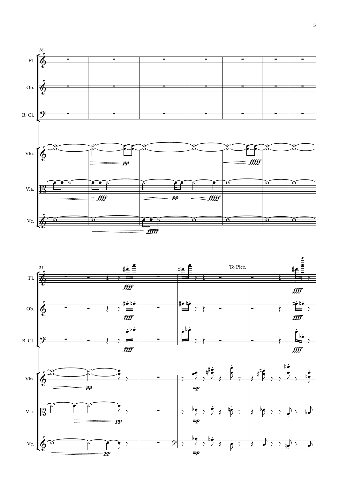



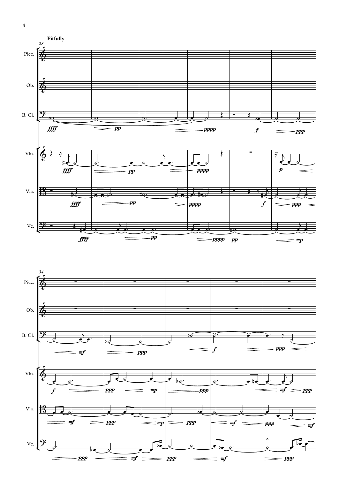



4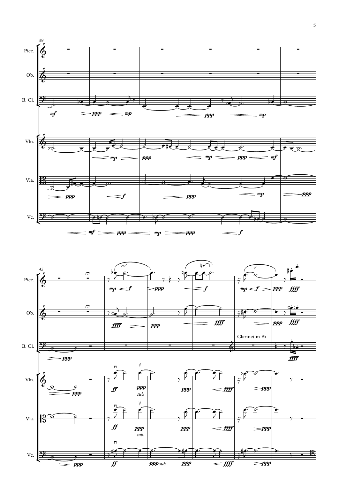

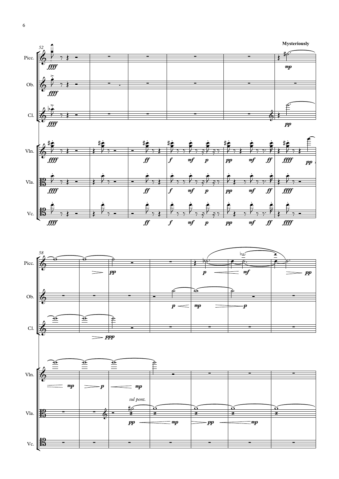

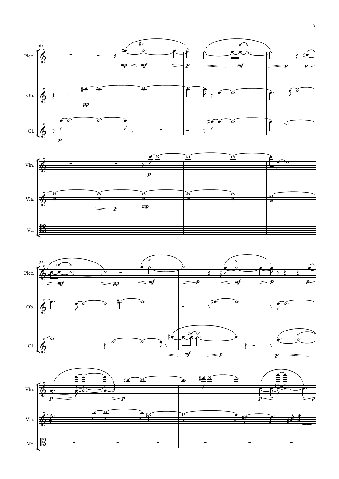



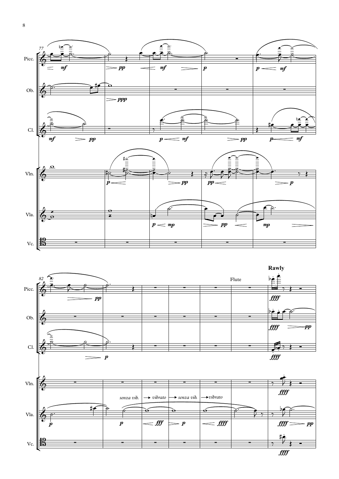

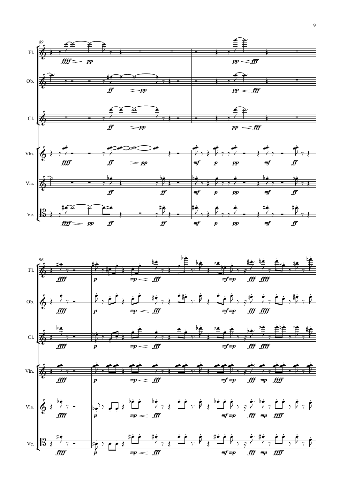



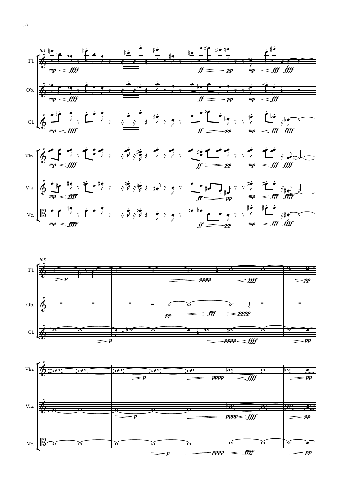

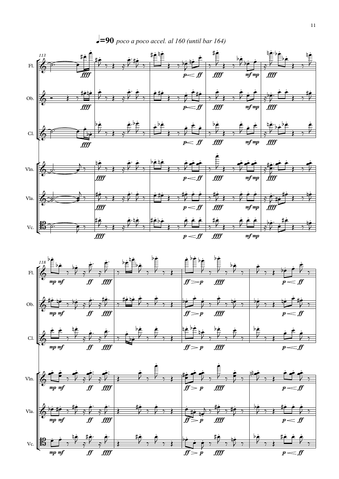$\blacktriangleright$ =90 poco a poco accel. al 160 (until bar 164)





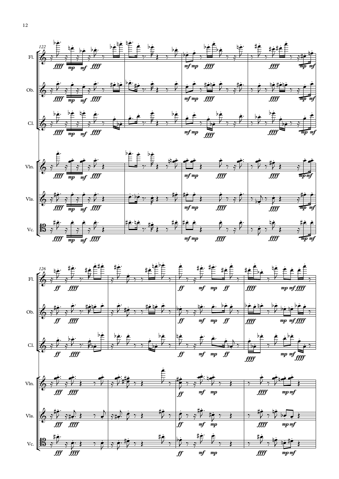



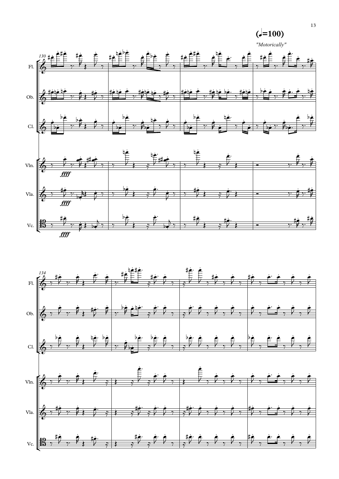$\left( =100\right)$ "Motorically"

13





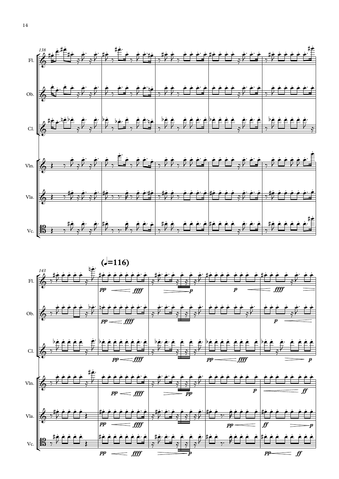

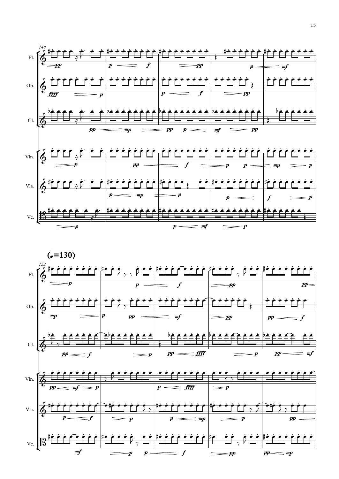

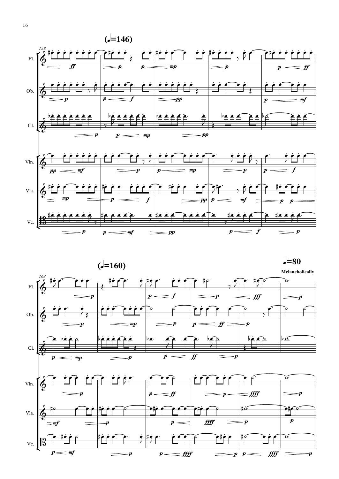





$$
(\mathbf{=}\mathbf{160})
$$

 $J=80$ 





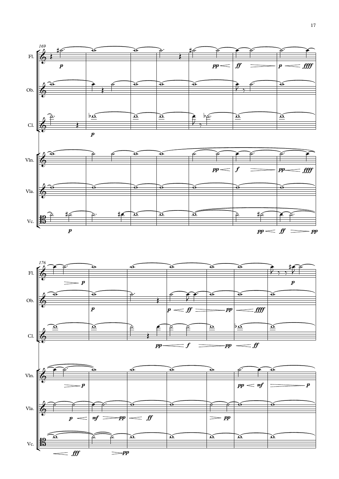

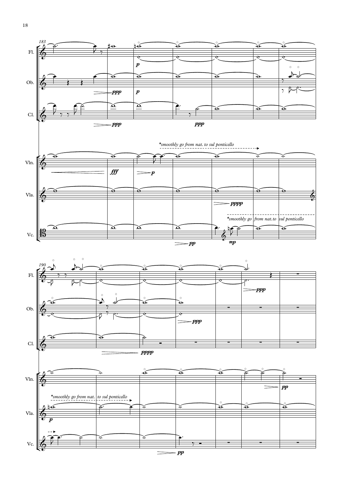

18